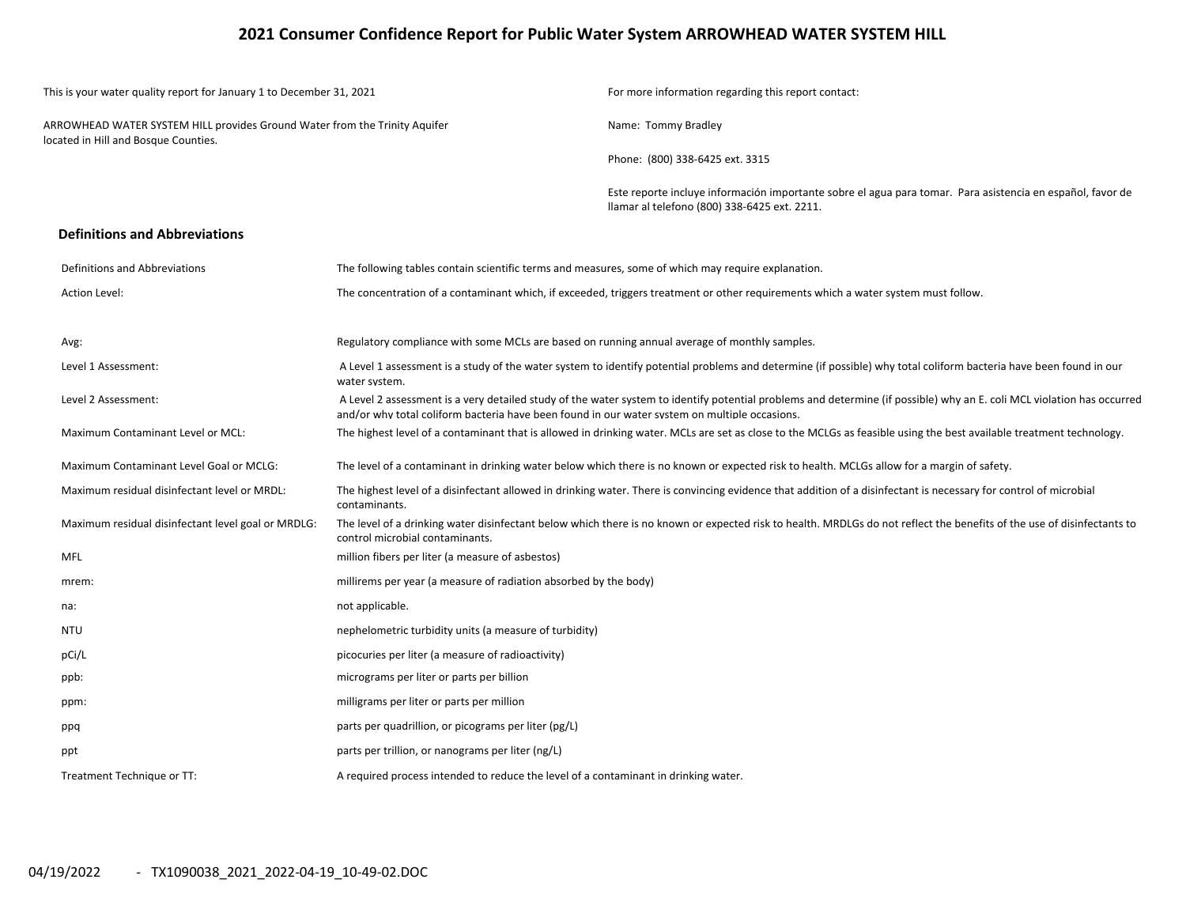### **2021 Consumer Confidence Report for Public Water System ARROWHEAD WATER SYSTEM HILL**

| This is your water quality report for January 1 to December 31, 2021                                               |                                                                                                                                                                                                                                                                         | For more information regarding this report contact:                                                                                                                    |  |  |  |  |
|--------------------------------------------------------------------------------------------------------------------|-------------------------------------------------------------------------------------------------------------------------------------------------------------------------------------------------------------------------------------------------------------------------|------------------------------------------------------------------------------------------------------------------------------------------------------------------------|--|--|--|--|
| ARROWHEAD WATER SYSTEM HILL provides Ground Water from the Trinity Aquifer<br>located in Hill and Bosque Counties. |                                                                                                                                                                                                                                                                         | Name: Tommy Bradley                                                                                                                                                    |  |  |  |  |
|                                                                                                                    |                                                                                                                                                                                                                                                                         | Phone: (800) 338-6425 ext. 3315                                                                                                                                        |  |  |  |  |
|                                                                                                                    |                                                                                                                                                                                                                                                                         | Este reporte incluye información importante sobre el agua para tomar. Para asistencia en español, favor de<br>Ilamar al telefono (800) 338-6425 ext. 2211.             |  |  |  |  |
| <b>Definitions and Abbreviations</b>                                                                               |                                                                                                                                                                                                                                                                         |                                                                                                                                                                        |  |  |  |  |
| Definitions and Abbreviations                                                                                      | The following tables contain scientific terms and measures, some of which may require explanation.                                                                                                                                                                      |                                                                                                                                                                        |  |  |  |  |
| Action Level:                                                                                                      |                                                                                                                                                                                                                                                                         | The concentration of a contaminant which, if exceeded, triggers treatment or other requirements which a water system must follow.                                      |  |  |  |  |
| Avg:                                                                                                               | Regulatory compliance with some MCLs are based on running annual average of monthly samples.                                                                                                                                                                            |                                                                                                                                                                        |  |  |  |  |
| Level 1 Assessment:                                                                                                | A Level 1 assessment is a study of the water system to identify potential problems and determine (if possible) why total coliform bacteria have been found in our<br>water system.                                                                                      |                                                                                                                                                                        |  |  |  |  |
| Level 2 Assessment:                                                                                                | A Level 2 assessment is a very detailed study of the water system to identify potential problems and determine (if possible) why an E. coli MCL violation has occurred<br>and/or why total coliform bacteria have been found in our water system on multiple occasions. |                                                                                                                                                                        |  |  |  |  |
| Maximum Contaminant Level or MCL:                                                                                  |                                                                                                                                                                                                                                                                         | The highest level of a contaminant that is allowed in drinking water. MCLs are set as close to the MCLGs as feasible using the best available treatment technology.    |  |  |  |  |
| Maximum Contaminant Level Goal or MCLG:                                                                            |                                                                                                                                                                                                                                                                         | The level of a contaminant in drinking water below which there is no known or expected risk to health. MCLGs allow for a margin of safety.                             |  |  |  |  |
| Maximum residual disinfectant level or MRDL:                                                                       | contaminants.                                                                                                                                                                                                                                                           | The highest level of a disinfectant allowed in drinking water. There is convincing evidence that addition of a disinfectant is necessary for control of microbial      |  |  |  |  |
| Maximum residual disinfectant level goal or MRDLG:                                                                 | control microbial contaminants.                                                                                                                                                                                                                                         | The level of a drinking water disinfectant below which there is no known or expected risk to health. MRDLGs do not reflect the benefits of the use of disinfectants to |  |  |  |  |
| MFL                                                                                                                | million fibers per liter (a measure of asbestos)                                                                                                                                                                                                                        |                                                                                                                                                                        |  |  |  |  |
| mrem:                                                                                                              | millirems per year (a measure of radiation absorbed by the body)                                                                                                                                                                                                        |                                                                                                                                                                        |  |  |  |  |
| na:                                                                                                                | not applicable.                                                                                                                                                                                                                                                         |                                                                                                                                                                        |  |  |  |  |
| <b>NTU</b>                                                                                                         | nephelometric turbidity units (a measure of turbidity)                                                                                                                                                                                                                  |                                                                                                                                                                        |  |  |  |  |
| pCi/L                                                                                                              | picocuries per liter (a measure of radioactivity)                                                                                                                                                                                                                       |                                                                                                                                                                        |  |  |  |  |
| ppb:                                                                                                               | micrograms per liter or parts per billion                                                                                                                                                                                                                               |                                                                                                                                                                        |  |  |  |  |
| ppm:                                                                                                               | milligrams per liter or parts per million                                                                                                                                                                                                                               |                                                                                                                                                                        |  |  |  |  |
| ppq                                                                                                                | parts per quadrillion, or picograms per liter (pg/L)                                                                                                                                                                                                                    |                                                                                                                                                                        |  |  |  |  |
| ppt                                                                                                                | parts per trillion, or nanograms per liter (ng/L)                                                                                                                                                                                                                       |                                                                                                                                                                        |  |  |  |  |
| Treatment Technique or TT:                                                                                         | A required process intended to reduce the level of a contaminant in drinking water.                                                                                                                                                                                     |                                                                                                                                                                        |  |  |  |  |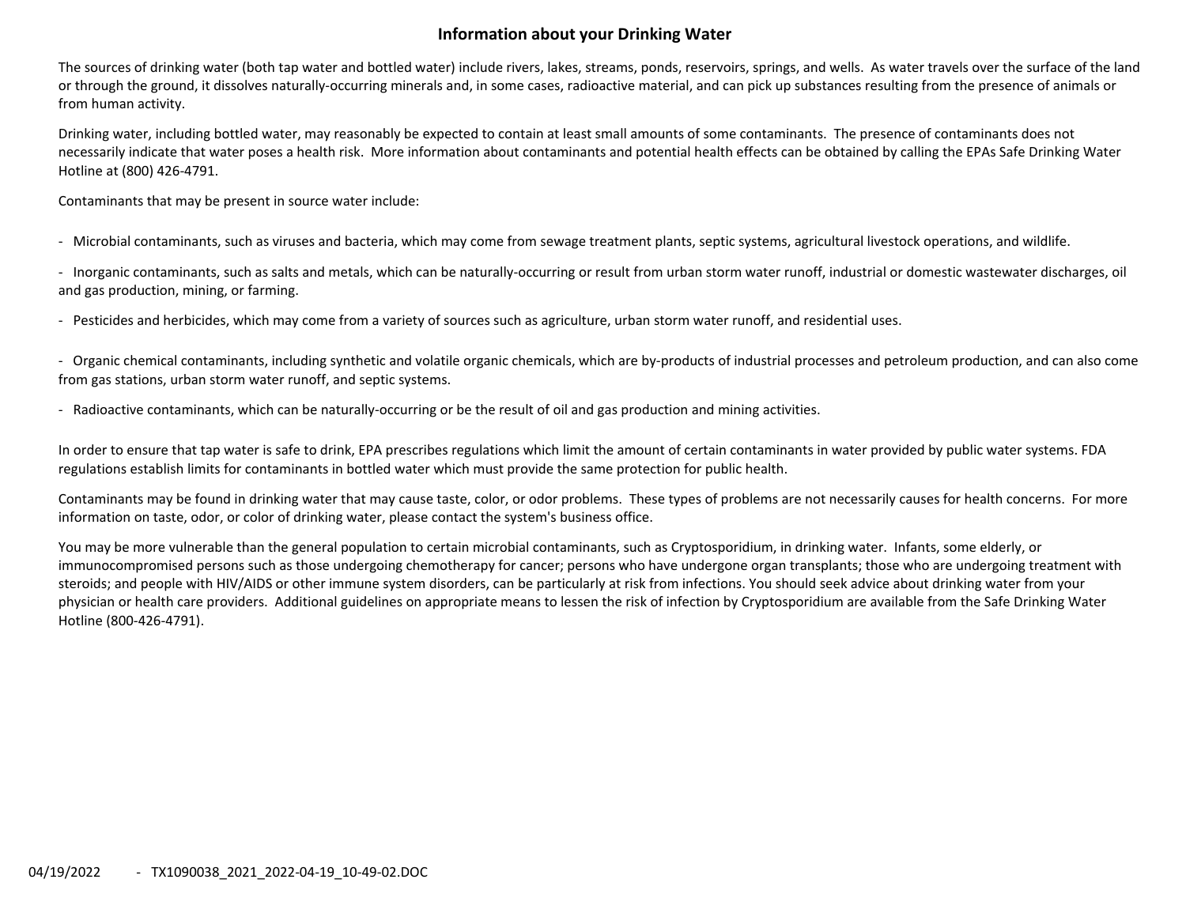## **Information about your Drinking Water**

The sources of drinking water (both tap water and bottled water) include rivers, lakes, streams, ponds, reservoirs, springs, and wells. As water travels over the surface of the land or through the ground, it dissolves naturally‐occurring minerals and, in some cases, radioactive material, and can pick up substances resulting from the presence of animals or from human activity.

Drinking water, including bottled water, may reasonably be expected to contain at least small amounts of some contaminants. The presence of contaminants does not necessarily indicate that water poses <sup>a</sup> health risk. More information about contaminants and potential health effects can be obtained by calling the EPAs Safe Drinking Water Hotline at (800) 426‐4791.

Contaminants that may be present in source water include:

‐ Microbial contaminants, such as viruses and bacteria, which may come from sewage treatment plants, septic systems, agricultural livestock operations, and wildlife.

‐ Inorganic contaminants, such as salts and metals, which can be naturally‐occurring or result from urban storm water runoff, industrial or domestic wastewater discharges, oil and gas production, mining, or farming.

‐ Pesticides and herbicides, which may come from <sup>a</sup> variety of sources such as agriculture, urban storm water runoff, and residential uses.

‐ Organic chemical contaminants, including synthetic and volatile organic chemicals, which are by‐products of industrial processes and petroleum production, and can also come from gas stations, urban storm water runoff, and septic systems.

‐ Radioactive contaminants, which can be naturally‐occurring or be the result of oil and gas production and mining activities.

In order to ensure that tap water is safe to drink, EPA prescribes regulations which limit the amount of certain contaminants in water provided by public water systems. FDA regulations establish limits for contaminants in bottled water which must provide the same protection for public health.

Contaminants may be found in drinking water that may cause taste, color, or odor problems. These types of problems are not necessarily causes for health concerns. For more information on taste, odor, or color of drinking water, please contact the system's business office.

You may be more vulnerable than the general population to certain microbial contaminants, such as Cryptosporidium, in drinking water. Infants, some elderly, or immunocompromised persons such as those undergoing chemotherapy for cancer; persons who have undergone organ transplants; those who are undergoing treatment with steroids; and people with HIV/AIDS or other immune system disorders, can be particularly at risk from infections. You should seek advice about drinking water from your physician or health care providers. Additional guidelines on appropriate means to lessen the risk of infection by Cryptosporidium are available from the Safe Drinking Water Hotline (800‐426‐4791).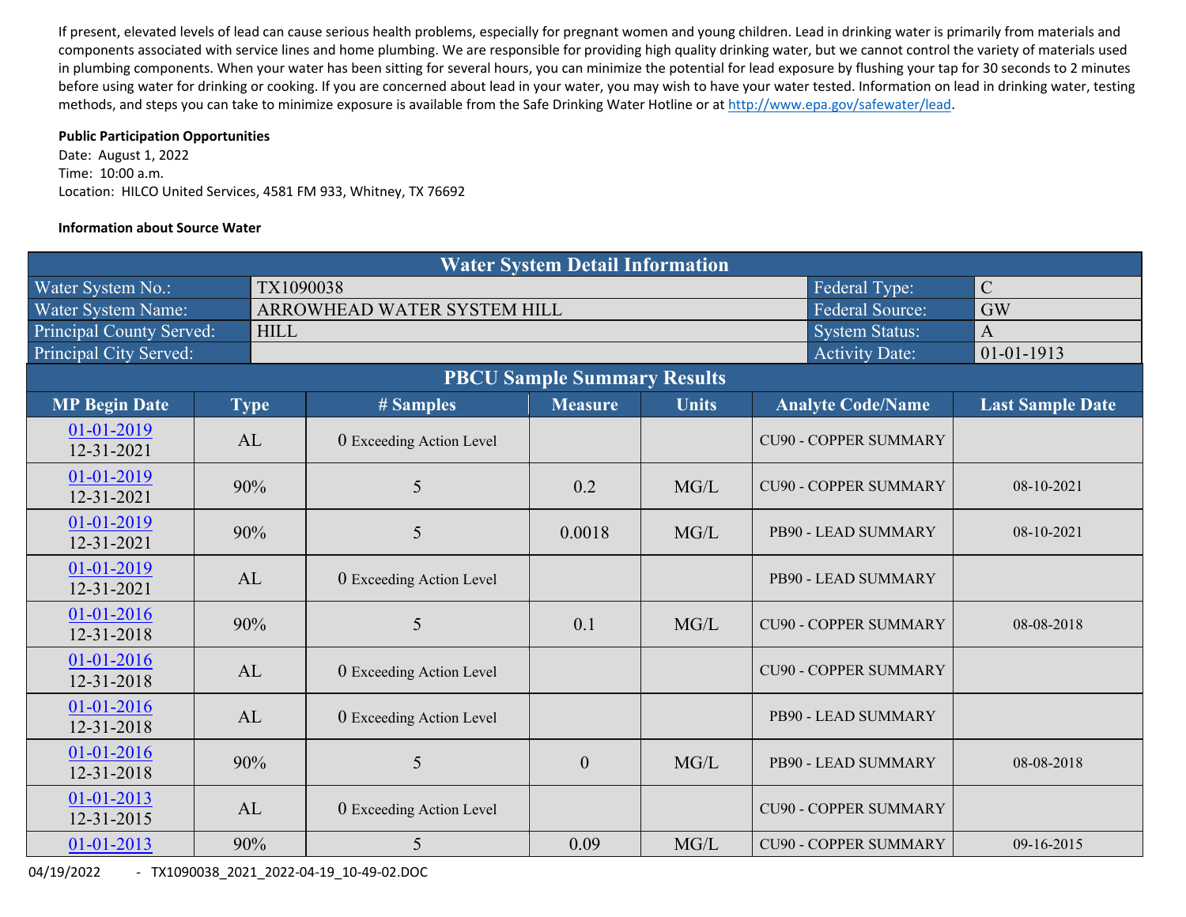If present, elevated levels of lead can cause serious health problems, especially for pregnant women and young children. Lead in drinking water is primarily from materials and components associated with service lines and home plumbing. We are responsible for providing high quality drinking water, but we cannot control the variety of materials used in plumbing components. When your water has been sitting for several hours, you can minimize the potential for lead exposure by flushing your tap for 30 seconds to 2 minutes before using water for drinking or cooking. If you are concerned about lead in your water, you may wish to have your water tested. Information on lead in drinking water, testing methods, and steps you can take to minimize exposure is available from the Safe Drinking Water Hotline or at http://www.epa.gov/safewater/lead.

#### **Public Participation Opportunities**

Date: August 1, 2022 Time: 10:00 a.m. Location: HILCO United Services, 4581 FM 933, Whitney, TX 76692

#### **Information about Source Water**

| <b>Water System Detail Information</b> |  |             |                             |                  |              |                              |                         |  |  |  |  |  |
|----------------------------------------|--|-------------|-----------------------------|------------------|--------------|------------------------------|-------------------------|--|--|--|--|--|
| Water System No.:                      |  | TX1090038   |                             |                  |              | Federal Type:                | $\mathcal{C}$           |  |  |  |  |  |
| Water System Name:                     |  |             | ARROWHEAD WATER SYSTEM HILL | <b>GW</b>        |              |                              |                         |  |  |  |  |  |
| <b>Principal County Served:</b>        |  | <b>HILL</b> | $\overline{A}$              |                  |              |                              |                         |  |  |  |  |  |
| Principal City Served:                 |  |             |                             |                  |              | <b>Activity Date:</b>        | $01 - 01 - 1913$        |  |  |  |  |  |
| <b>PBCU Sample Summary Results</b>     |  |             |                             |                  |              |                              |                         |  |  |  |  |  |
| <b>MP Begin Date</b>                   |  | <b>Type</b> | # Samples                   | <b>Measure</b>   | <b>Units</b> | <b>Analyte Code/Name</b>     | <b>Last Sample Date</b> |  |  |  |  |  |
| 01-01-2019<br>12-31-2021               |  | AL          | 0 Exceeding Action Level    |                  |              | <b>CU90 - COPPER SUMMARY</b> |                         |  |  |  |  |  |
| 01-01-2019<br>12-31-2021               |  | 90%         | 5                           | 0.2              | MG/L         | <b>CU90 - COPPER SUMMARY</b> | 08-10-2021              |  |  |  |  |  |
| 01-01-2019<br>12-31-2021               |  | 90%         | 5                           | 0.0018           | MG/L         | PB90 - LEAD SUMMARY          | 08-10-2021              |  |  |  |  |  |
| 01-01-2019<br>12-31-2021               |  | AL          | 0 Exceeding Action Level    |                  |              | PB90 - LEAD SUMMARY          |                         |  |  |  |  |  |
| 01-01-2016<br>12-31-2018               |  | 90%         | 5                           | 0.1              | MG/L         | <b>CU90 - COPPER SUMMARY</b> | 08-08-2018              |  |  |  |  |  |
| 01-01-2016<br>12-31-2018               |  | AL          | 0 Exceeding Action Level    |                  |              | <b>CU90 - COPPER SUMMARY</b> |                         |  |  |  |  |  |
| 01-01-2016<br>12-31-2018               |  | AL          | 0 Exceeding Action Level    |                  |              | PB90 - LEAD SUMMARY          |                         |  |  |  |  |  |
| 01-01-2016<br>12-31-2018               |  | 90%         | 5                           | $\boldsymbol{0}$ | MG/L         | PB90 - LEAD SUMMARY          | 08-08-2018              |  |  |  |  |  |
| 01-01-2013<br>12-31-2015               |  | AL          | 0 Exceeding Action Level    |                  |              | <b>CU90 - COPPER SUMMARY</b> |                         |  |  |  |  |  |
| 01-01-2013                             |  | 90%         | 5                           | 0.09             | MG/L         | <b>CU90 - COPPER SUMMARY</b> | 09-16-2015              |  |  |  |  |  |

04/19/2022 ‐ TX1090038\_2021\_2022‐04‐19\_10‐49‐02.DOC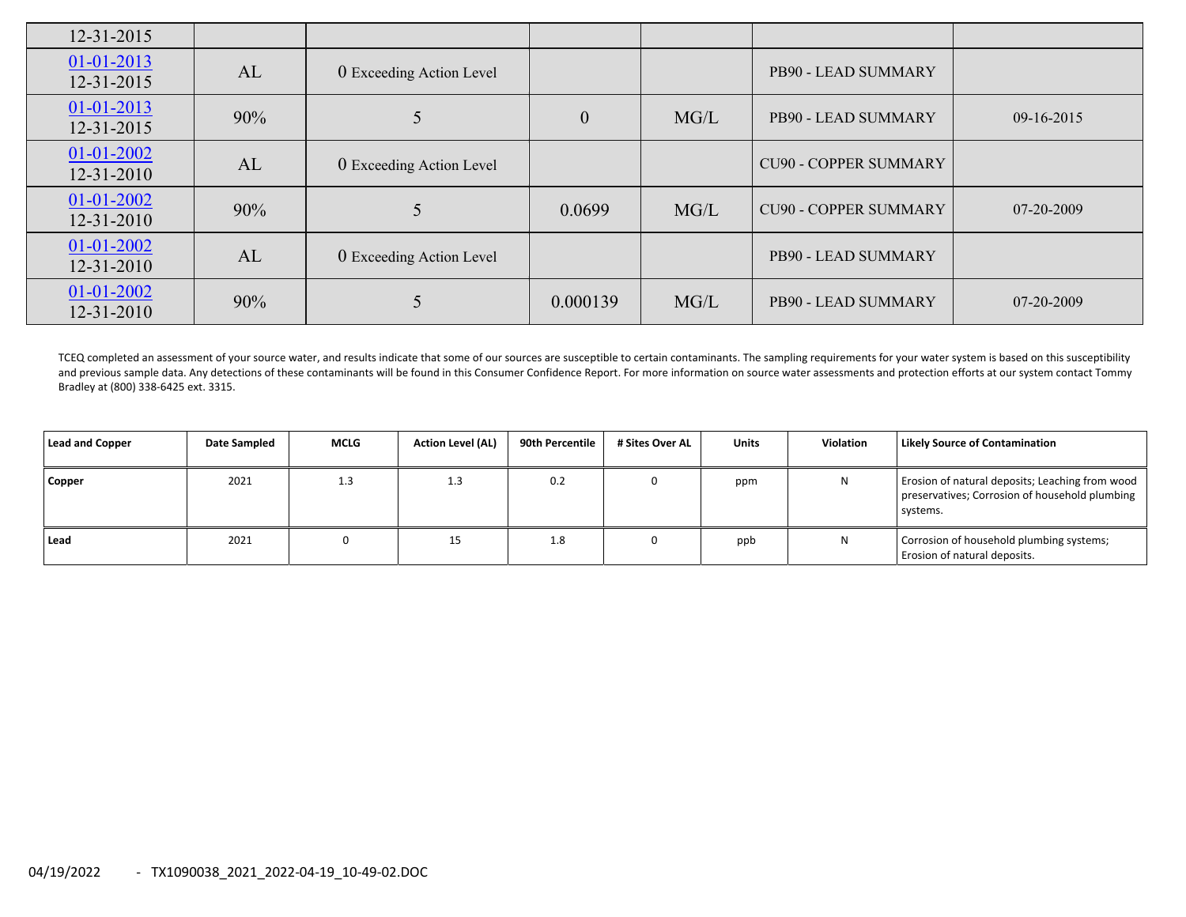| $12 - 31 - 2015$                     |     |                          |                  |      |                              |            |
|--------------------------------------|-----|--------------------------|------------------|------|------------------------------|------------|
| $01 - 01 - 2013$<br>12-31-2015       | AL  | 0 Exceeding Action Level |                  |      | PB90 - LEAD SUMMARY          |            |
| $01 - 01 - 2013$<br>12-31-2015       | 90% |                          | $\boldsymbol{0}$ | MG/L | PB90 - LEAD SUMMARY          | 09-16-2015 |
| 01-01-2002<br>$12 - 31 - 2010$       | AL  | 0 Exceeding Action Level |                  |      | <b>CU90 - COPPER SUMMARY</b> |            |
| $01 - 01 - 2002$<br>$12 - 31 - 2010$ | 90% |                          | 0.0699           | MG/L | <b>CU90 - COPPER SUMMARY</b> | 07-20-2009 |
| $01 - 01 - 2002$<br>12-31-2010       | AL  | 0 Exceeding Action Level |                  |      | PB90 - LEAD SUMMARY          |            |
| $01 - 01 - 2002$<br>$12 - 31 - 2010$ | 90% |                          | 0.000139         | MG/L | PB90 - LEAD SUMMARY          | 07-20-2009 |

TCEQ completed an assessment of your source water, and results indicate that some of our sources are susceptible to certain contaminants. The sampling requirements for your water system is based on this susceptibility and previous sample data. Any detections of these contaminants will be found in this Consumer Confidence Report. For more information on source water assessments and protection efforts at our system contact Tommy Bradley at (800) 338‐6425 ext. 3315.

| Lead and Copper | Date Sampled | <b>MCLG</b> | <b>Action Level (AL)</b> | 90th Percentile | # Sites Over AL | <b>Units</b> | Violation | Likely Source of Contamination                                                                                |
|-----------------|--------------|-------------|--------------------------|-----------------|-----------------|--------------|-----------|---------------------------------------------------------------------------------------------------------------|
| Copper          | 2021         | 1.3         | 1.3                      | 0.2             |                 | ppm          |           | Erosion of natural deposits; Leaching from wood<br>preservatives; Corrosion of household plumbing<br>systems. |
| Lead            | 2021         |             | 15                       | 1.8             |                 | ppb          |           | Corrosion of household plumbing systems;<br>Erosion of natural deposits.                                      |